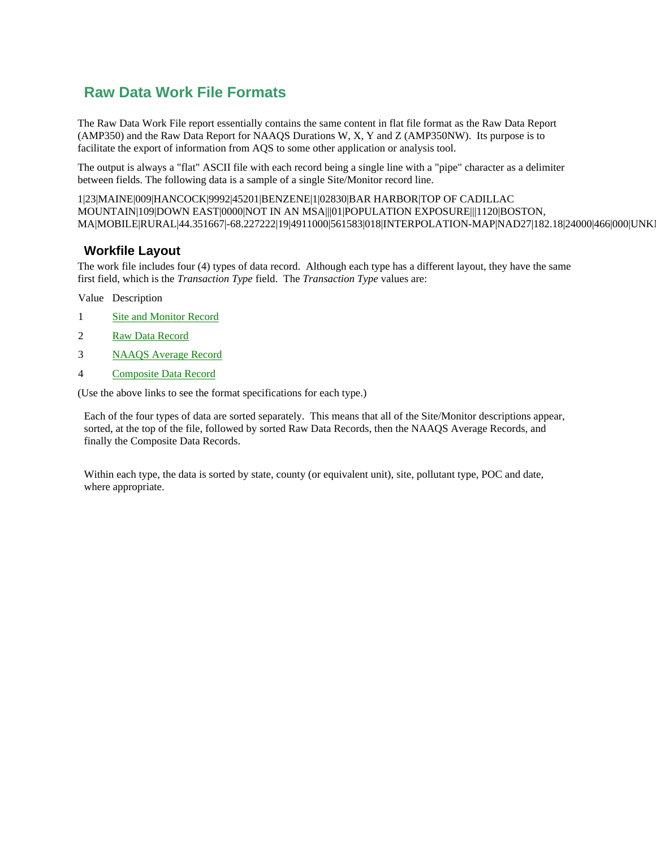# **Raw Data Work File Formats**

The Raw Data Work File report essentially contains the same content in flat file format as the Raw Data Report (AMP350) and the Raw Data Report for NAAQS Durations W, X, Y and Z (AMP350NW). Its purpose is to facilitate the export of information from AQS to some other application or analysis tool.

The output is always a "flat" ASCII file with each record being a single line with a "pipe" character as a delimiter between fields. The following data is a sample of a single Site/Monitor record line.

1|23|MAINE|009|HANCOCK|9992|45201|BENZENE|1|02830|BAR HARBOR|TOP OF CADILLAC MOUNTAIN|109|DOWN EAST|0000|NOT IN AN MSA|||01|POPULATION EXPOSURE|||1120|BOSTON, MA|MOBILE|RURAL|44.351667|-68.227222|19|4911000|561583|018|INTERPOLATION-MAP|NAD27|182.18|24000|466|000|UNKN

#### **Workfile Layout**

The work file includes four (4) types of data record. Although each type has a different layout, they have the same first field, which is the *Transaction Type* field. The *Transaction Type* values are:

Value Description

- 1 [Site and Monitor Record](#page-1-0)
- 2 [Raw Data Record](#page-3-0)
- 3 [NAAQS Average Record](#page-5-0)
- 4 [Composite Data Record](#page-7-0)

(Use the above links to see the format specifications for each type.)

Each of the four types of data are sorted separately. This means that all of the Site/Monitor descriptions appear, sorted, at the top of the file, followed by sorted Raw Data Records, then the NAAQS Average Records, and finally the Composite Data Records.

Within each type, the data is sorted by state, county (or equivalent unit), site, pollutant type, POC and date, where appropriate.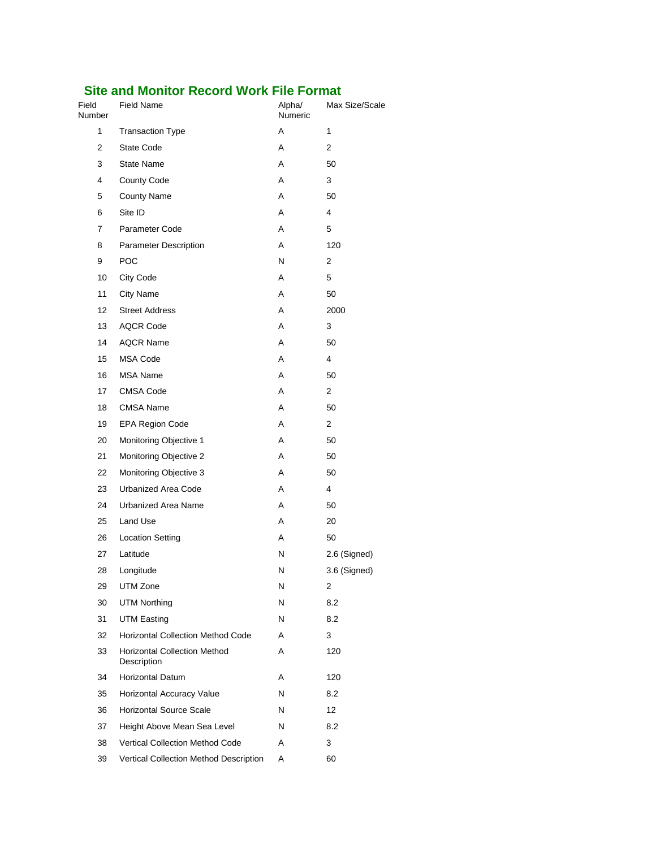## <span id="page-1-0"></span>**Site and Monitor Record Work File Format**

| Field<br>Number | <b>Field Name</b>                                  | Alpha/<br>Numeric | Max Size/Scale |
|-----------------|----------------------------------------------------|-------------------|----------------|
| 1               | <b>Transaction Type</b>                            | A                 | 1              |
| 2               | <b>State Code</b>                                  | A                 | 2              |
| 3               | <b>State Name</b>                                  | A                 | 50             |
| 4               | <b>County Code</b>                                 | A                 | 3              |
| 5               | <b>County Name</b>                                 | A                 | 50             |
| 6               | Site ID                                            | A                 | 4              |
| 7               | Parameter Code                                     | Α                 | 5              |
| 8               | <b>Parameter Description</b>                       | Α                 | 120            |
| 9               | <b>POC</b>                                         | N                 | 2              |
| 10              | City Code                                          | Α                 | 5              |
| 11              | <b>City Name</b>                                   | A                 | 50             |
| 12              | <b>Street Address</b>                              | A                 | 2000           |
| 13              | <b>AQCR Code</b>                                   | A                 | 3              |
| 14              | <b>AQCR Name</b>                                   | Α                 | 50             |
| 15              | <b>MSA Code</b>                                    | A                 | 4              |
| 16              | <b>MSA Name</b>                                    | Α                 | 50             |
| 17              | <b>CMSA Code</b>                                   | Α                 | 2              |
| 18              | <b>CMSA Name</b>                                   | Α                 | 50             |
| 19              | <b>EPA Region Code</b>                             | A                 | 2              |
| 20              | Monitoring Objective 1                             | A                 | 50             |
| 21              | Monitoring Objective 2                             | A                 | 50             |
| 22              | Monitoring Objective 3                             | A                 | 50             |
| 23              | Urbanized Area Code                                | A                 | 4              |
| 24              | Urbanized Area Name                                | A                 | 50             |
| 25              | Land Use                                           | Α                 | 20             |
| 26              | <b>Location Setting</b>                            | Α                 | 50             |
| 27              | Latitude                                           | Ν                 | 2.6 (Signed)   |
| 28              | Longitude                                          | Ν                 | 3.6 (Signed)   |
| 29              | UTM Zone                                           | Ν                 | 2              |
| 30              | <b>UTM Northing</b>                                | N                 | 8.2            |
| 31              | <b>UTM Easting</b>                                 | Ν                 | 8.2            |
| 32              | <b>Horizontal Collection Method Code</b>           | A                 | 3              |
| 33              | <b>Horizontal Collection Method</b><br>Description | A                 | 120            |
| 34              | <b>Horizontal Datum</b>                            | Α                 | 120            |
| 35              | Horizontal Accuracy Value                          | N                 | 8.2            |
| 36              | <b>Horizontal Source Scale</b>                     | N                 | 12             |
| 37              | Height Above Mean Sea Level                        | N                 | 8.2            |
| 38              | Vertical Collection Method Code                    | A                 | 3              |
| 39              | Vertical Collection Method Description             | Α                 | 60             |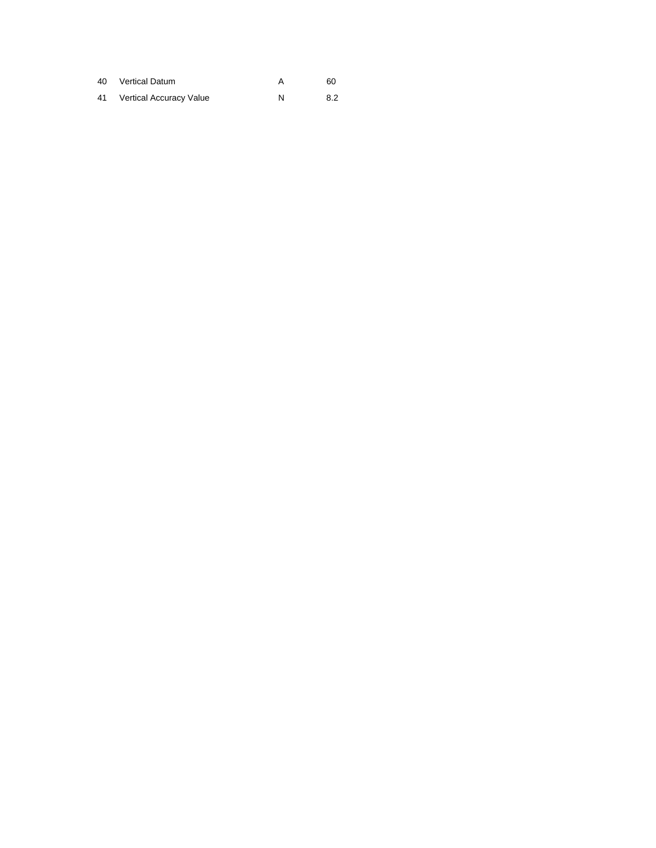| 40 | Vertical Datum          | 60  |
|----|-------------------------|-----|
| 41 | Vertical Accuracy Value | 8.2 |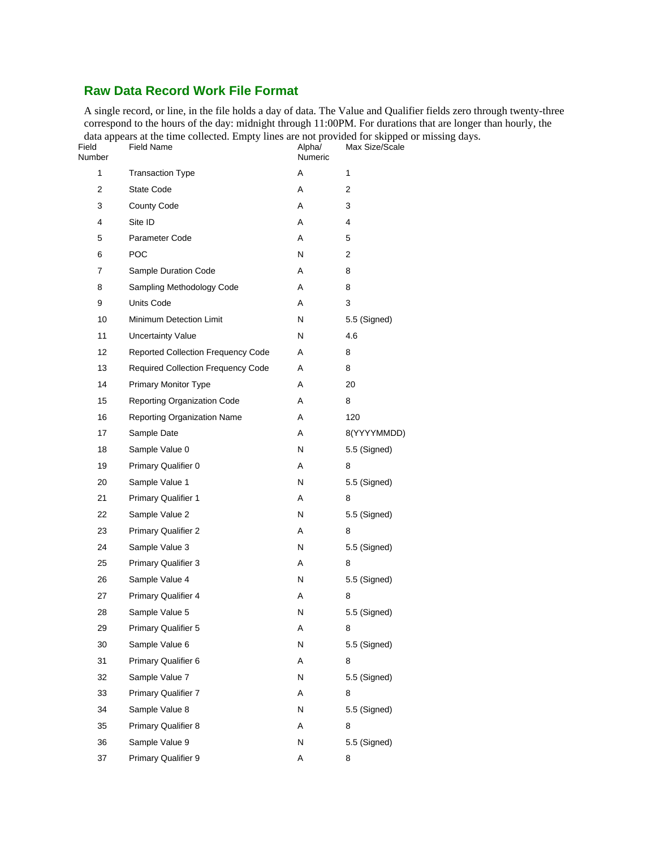#### <span id="page-3-0"></span>**Raw Data Record Work File Format**

A single record, or line, in the file holds a day of data. The Value and Qualifier fields zero through twenty-three correspond to the hours of the day: midnight through 11:00PM. For durations that are longer than hourly, the data appears at the time collected. Empty lines are not provided for skipped or missing days.

| Field<br>Number | <b>Field Name</b>                         | Alpha/<br>Numeric | Max Size/Scale |
|-----------------|-------------------------------------------|-------------------|----------------|
| 1               | <b>Transaction Type</b>                   | Α                 | 1              |
| 2               | <b>State Code</b>                         | Α                 | 2              |
| 3               | County Code                               | A                 | 3              |
| 4               | Site ID                                   | Α                 | 4              |
| 5               | Parameter Code                            | Α                 | 5              |
| 6               | <b>POC</b>                                | Ν                 | 2              |
| 7               | Sample Duration Code                      | Α                 | 8              |
| 8               | Sampling Methodology Code                 | Α                 | 8              |
| 9               | Units Code                                | Α                 | 3              |
| 10              | Minimum Detection Limit                   | N                 | 5.5 (Signed)   |
| 11              | <b>Uncertainty Value</b>                  | Ν                 | 4.6            |
| 12              | Reported Collection Frequency Code        | A                 | 8              |
| 13              | <b>Required Collection Frequency Code</b> | Α                 | 8              |
| 14              | Primary Monitor Type                      | Α                 | 20             |
| 15              | Reporting Organization Code               | Α                 | 8              |
| 16              | Reporting Organization Name               | Α                 | 120            |
| 17              | Sample Date                               | Α                 | 8(YYYYMMDD)    |
| 18              | Sample Value 0                            | Ν                 | 5.5 (Signed)   |
| 19              | Primary Qualifier 0                       | Α                 | 8              |
| 20              | Sample Value 1                            | Ν                 | 5.5 (Signed)   |
| 21              | <b>Primary Qualifier 1</b>                | Α                 | 8              |
| 22              | Sample Value 2                            | N                 | 5.5 (Signed)   |
| 23              | <b>Primary Qualifier 2</b>                | Α                 | 8              |
| 24              | Sample Value 3                            | Ν                 | 5.5 (Signed)   |
| 25              | <b>Primary Qualifier 3</b>                | Α                 | 8              |
| 26              | Sample Value 4                            | Ν                 | 5.5 (Signed)   |
| 27              | <b>Primary Qualifier 4</b>                | A                 | 8              |
| 28              | Sample Value 5                            | Ν                 | 5.5 (Signed)   |
| 29              | Primary Qualifier 5                       | Α                 | 8              |
| 30              | Sample Value 6                            | Ν                 | 5.5 (Signed)   |
| 31              | Primary Qualifier 6                       | Α                 | 8              |
| 32              | Sample Value 7                            | Ν                 | 5.5 (Signed)   |
| 33              | <b>Primary Qualifier 7</b>                | Α                 | 8              |
| 34              | Sample Value 8                            | Ν                 | 5.5 (Signed)   |
| 35              | <b>Primary Qualifier 8</b>                | Α                 | 8              |
| 36              | Sample Value 9                            | Ν                 | 5.5 (Signed)   |
| 37              | Primary Qualifier 9                       | Α                 | 8              |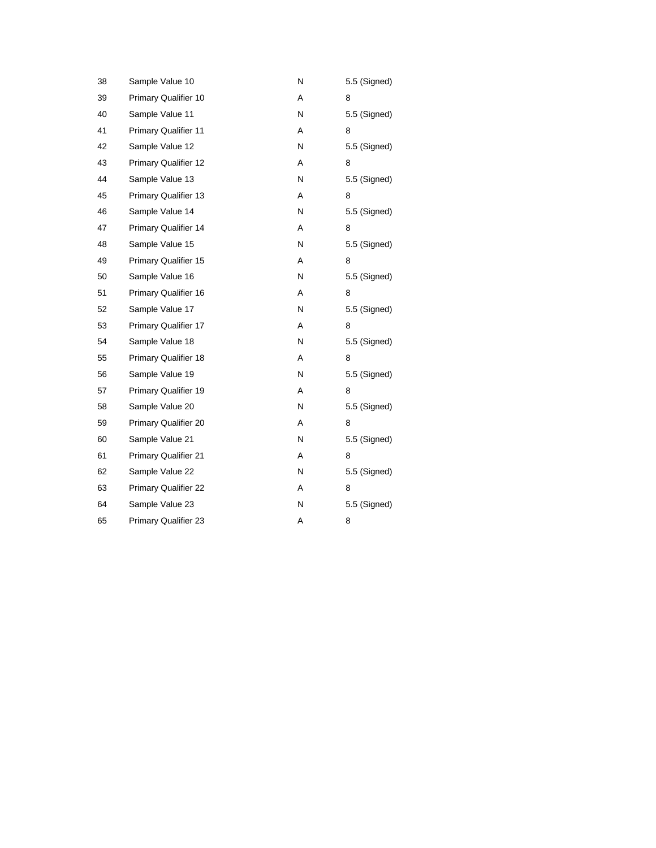| 38 | Sample Value 10             | N | 5.5 (Signed) |
|----|-----------------------------|---|--------------|
| 39 | Primary Qualifier 10        | A | 8            |
| 40 | Sample Value 11             | N | 5.5 (Signed) |
| 41 | <b>Primary Qualifier 11</b> | A | 8            |
| 42 | Sample Value 12             | N | 5.5 (Signed) |
| 43 | <b>Primary Qualifier 12</b> | A | 8            |
| 44 | Sample Value 13             | Ν | 5.5 (Signed) |
| 45 | <b>Primary Qualifier 13</b> | A | 8            |
| 46 | Sample Value 14             | N | 5.5 (Signed) |
| 47 | <b>Primary Qualifier 14</b> | Α | 8            |
| 48 | Sample Value 15             | N | 5.5 (Signed) |
| 49 | <b>Primary Qualifier 15</b> | A | 8            |
| 50 | Sample Value 16             | Ν | 5.5 (Signed) |
| 51 | <b>Primary Qualifier 16</b> | A | 8            |
| 52 | Sample Value 17             | N | 5.5 (Signed) |
| 53 | Primary Qualifier 17        | Α | 8            |
| 54 | Sample Value 18             | N | 5.5 (Signed) |
| 55 | <b>Primary Qualifier 18</b> | A | 8            |
| 56 | Sample Value 19             | N | 5.5 (Signed) |
| 57 | <b>Primary Qualifier 19</b> | Α | 8            |
| 58 | Sample Value 20             | Ν | 5.5 (Signed) |
| 59 | Primary Qualifier 20        | A | 8            |
| 60 | Sample Value 21             | N | 5.5 (Signed) |
| 61 | <b>Primary Qualifier 21</b> | A | 8            |
| 62 | Sample Value 22             | N | 5.5 (Signed) |
| 63 | <b>Primary Qualifier 22</b> | A | 8            |
| 64 | Sample Value 23             | N | 5.5 (Signed) |
| 65 | Primary Qualifier 23        | Α | 8            |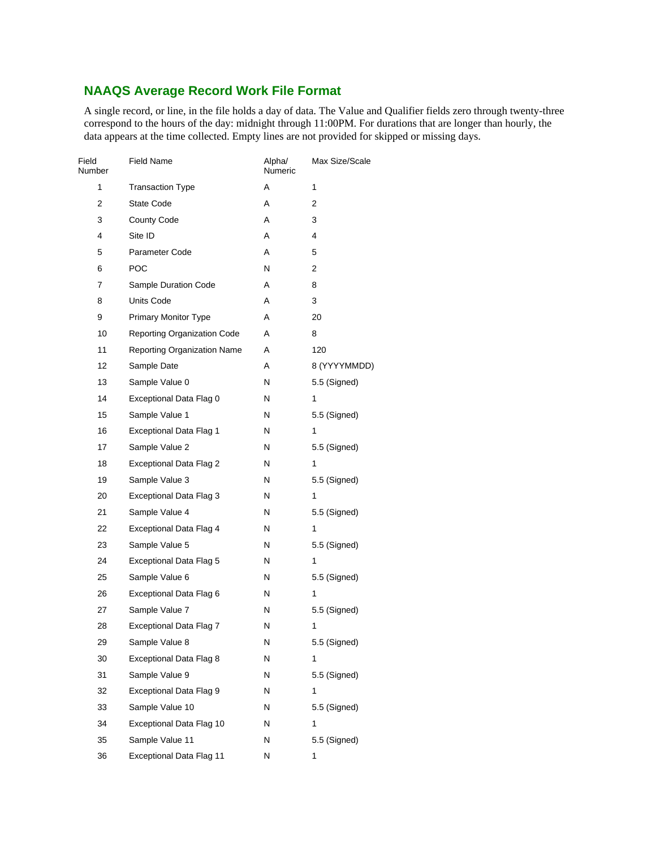### <span id="page-5-0"></span>**NAAQS Average Record Work File Format**

A single record, or line, in the file holds a day of data. The Value and Qualifier fields zero through twenty-three correspond to the hours of the day: midnight through 11:00PM. For durations that are longer than hourly, the data appears at the time collected. Empty lines are not provided for skipped or missing days.

| Field<br>Number | <b>Field Name</b>                  | Alpha/<br>Numeric | Max Size/Scale |
|-----------------|------------------------------------|-------------------|----------------|
| 1               | <b>Transaction Type</b>            | A                 | 1              |
| 2               | State Code                         | A                 | 2              |
| 3               | <b>County Code</b>                 | A                 | 3              |
| 4               | Site ID                            | A                 | 4              |
| 5               | Parameter Code                     | A                 | 5              |
| 6               | POC                                | Ν                 | 2              |
| 7               | Sample Duration Code               | A                 | 8              |
| 8               | <b>Units Code</b>                  | A                 | 3              |
| 9               | <b>Primary Monitor Type</b>        | A                 | 20             |
| 10              | <b>Reporting Organization Code</b> | A                 | 8              |
| 11              | <b>Reporting Organization Name</b> | A                 | 120            |
| 12              | Sample Date                        | A                 | 8 (YYYYMMDD)   |
| 13              | Sample Value 0                     | Ν                 | 5.5 (Signed)   |
| 14              | Exceptional Data Flag 0            | Ν                 | 1              |
| 15              | Sample Value 1                     | Ν                 | 5.5 (Signed)   |
| 16              | <b>Exceptional Data Flag 1</b>     | Ν                 | 1              |
| 17              | Sample Value 2                     | Ν                 | 5.5 (Signed)   |
| 18              | <b>Exceptional Data Flag 2</b>     | Ν                 | 1              |
| 19              | Sample Value 3                     | Ν                 | 5.5 (Signed)   |
| 20              | <b>Exceptional Data Flag 3</b>     | Ν                 | 1              |
| 21              | Sample Value 4                     | Ν                 | 5.5 (Signed)   |
| 22              | <b>Exceptional Data Flag 4</b>     | Ν                 | 1              |
| 23              | Sample Value 5                     | Ν                 | 5.5 (Signed)   |
| 24              | <b>Exceptional Data Flag 5</b>     | Ν                 | 1              |
| 25              | Sample Value 6                     | Ν                 | 5.5 (Signed)   |
| 26              | Exceptional Data Flag 6            | Ν                 | 1              |
| 27              | Sample Value 7                     | Ν                 | 5.5 (Signed)   |
| 28              | <b>Exceptional Data Flag 7</b>     | Ν                 | 1              |
| 29              | Sample Value 8                     | N                 | 5.5 (Signed)   |
| 30              | Exceptional Data Flag 8            | Ν                 | 1              |
| 31              | Sample Value 9                     | Ν                 | 5.5 (Signed)   |
| 32              | Exceptional Data Flag 9            | Ν                 | 1              |
| 33              | Sample Value 10                    | Ν                 | 5.5 (Signed)   |
| 34              | Exceptional Data Flag 10           | Ν                 | 1              |
| 35              | Sample Value 11                    | Ν                 | 5.5 (Signed)   |
| 36              | <b>Exceptional Data Flag 11</b>    | Ν                 | 1              |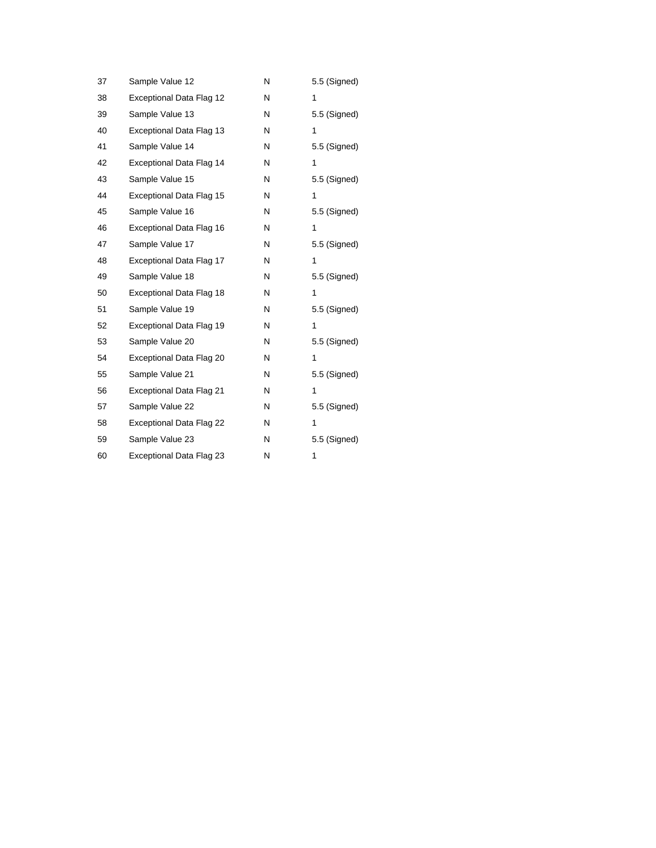| 37 | Sample Value 12                 | N | 5.5 (Signed) |
|----|---------------------------------|---|--------------|
| 38 | <b>Exceptional Data Flag 12</b> | N | 1            |
| 39 | Sample Value 13                 | N | 5.5 (Signed) |
| 40 | Exceptional Data Flag 13        | N | 1            |
| 41 | Sample Value 14                 | N | 5.5 (Signed) |
| 42 | Exceptional Data Flag 14        | N | 1            |
| 43 | Sample Value 15                 | N | 5.5 (Signed) |
| 44 | Exceptional Data Flag 15        | N | 1            |
| 45 | Sample Value 16                 | N | 5.5 (Signed) |
| 46 | Exceptional Data Flag 16        | Ν | 1            |
| 47 | Sample Value 17                 | N | 5.5 (Signed) |
| 48 | Exceptional Data Flag 17        | N | 1            |
| 49 | Sample Value 18                 | N | 5.5 (Signed) |
| 50 | Exceptional Data Flag 18        | N | 1            |
| 51 | Sample Value 19                 | N | 5.5 (Signed) |
| 52 | Exceptional Data Flag 19        | N | 1            |
| 53 | Sample Value 20                 | N | 5.5 (Signed) |
| 54 | Exceptional Data Flag 20        | Ν | 1            |
| 55 | Sample Value 21                 | N | 5.5 (Signed) |
| 56 | <b>Exceptional Data Flag 21</b> | N | 1            |
| 57 | Sample Value 22                 | N | 5.5 (Signed) |
| 58 | <b>Exceptional Data Flag 22</b> | N | 1            |
| 59 | Sample Value 23                 | N | 5.5 (Signed) |
| 60 | Exceptional Data Flag 23        | N | 1            |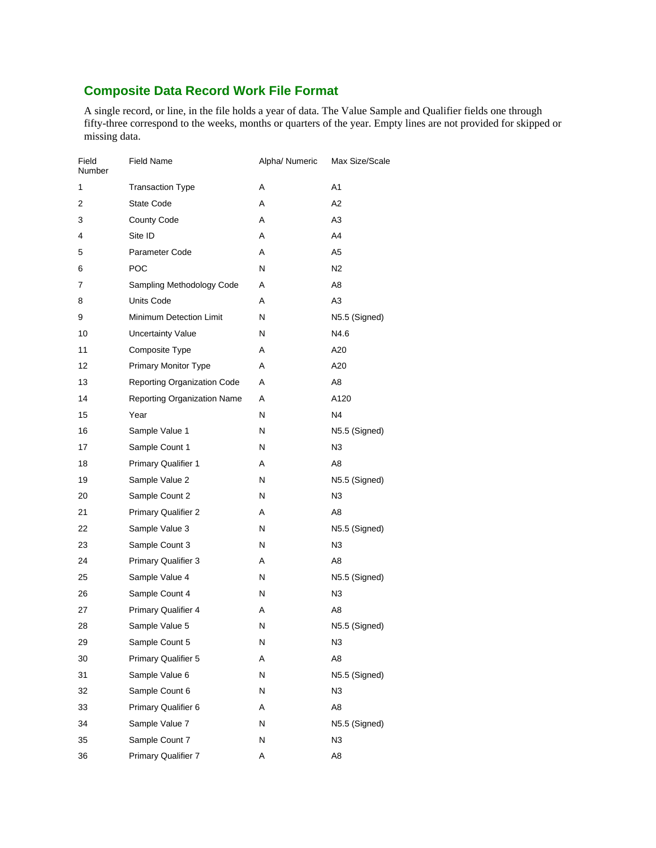# <span id="page-7-0"></span>**Composite Data Record Work File Format**

A single record, or line, in the file holds a year of data. The Value Sample and Qualifier fields one through fifty-three correspond to the weeks, months or quarters of the year. Empty lines are not provided for skipped or missing data.

| Field<br>Number | <b>Field Name</b>                  | Alpha/ Numeric | Max Size/Scale |
|-----------------|------------------------------------|----------------|----------------|
| 1               | <b>Transaction Type</b>            | A              | A1             |
| 2               | <b>State Code</b>                  | A              | A2             |
| 3               | <b>County Code</b>                 | A              | A <sub>3</sub> |
| 4               | Site ID                            | A              | A4             |
| 5               | Parameter Code                     | A              | A5             |
| 6               | POC                                | N              | N2             |
| 7               | Sampling Methodology Code          | A              | A8             |
| 8               | Units Code                         | A              | A3             |
| 9               | Minimum Detection Limit            | N              | N5.5 (Signed)  |
| 10              | <b>Uncertainty Value</b>           | N              | N4.6           |
| 11              | Composite Type                     | A              | A20            |
| 12              | Primary Monitor Type               | A              | A20            |
| 13              | <b>Reporting Organization Code</b> | A              | A8             |
| 14              | Reporting Organization Name        | A              | A120           |
| 15              | Year                               | Ν              | N4             |
| 16              | Sample Value 1                     | N              | N5.5 (Signed)  |
| 17              | Sample Count 1                     | N              | N3             |
| 18              | <b>Primary Qualifier 1</b>         | A              | A8             |
| 19              | Sample Value 2                     | N              | N5.5 (Signed)  |
| 20              | Sample Count 2                     | N              | N3             |
| 21              | <b>Primary Qualifier 2</b>         | A              | A8             |
| 22              | Sample Value 3                     | N              | N5.5 (Signed)  |
| 23              | Sample Count 3                     | Ν              | N3             |
| 24              | <b>Primary Qualifier 3</b>         | A              | A8             |
| 25              | Sample Value 4                     | N              | N5.5 (Signed)  |
| 26              | Sample Count 4                     | N              | N3             |
| 27              | <b>Primary Qualifier 4</b>         | A              | A8             |
| 28              | Sample Value 5                     | Ν              | N5.5 (Signed)  |
| 29              | Sample Count 5                     | N              | N3             |
| 30              | <b>Primary Qualifier 5</b>         | Α              | A8             |
| 31              | Sample Value 6                     | N              | N5.5 (Signed)  |
| 32              | Sample Count 6                     | Ν              | N3             |
| 33              | Primary Qualifier 6                | Α              | A <sub>8</sub> |
| 34              | Sample Value 7                     | Ν              | N5.5 (Signed)  |
| 35              | Sample Count 7                     | N              | N <sub>3</sub> |
| 36              | <b>Primary Qualifier 7</b>         | Α              | A8             |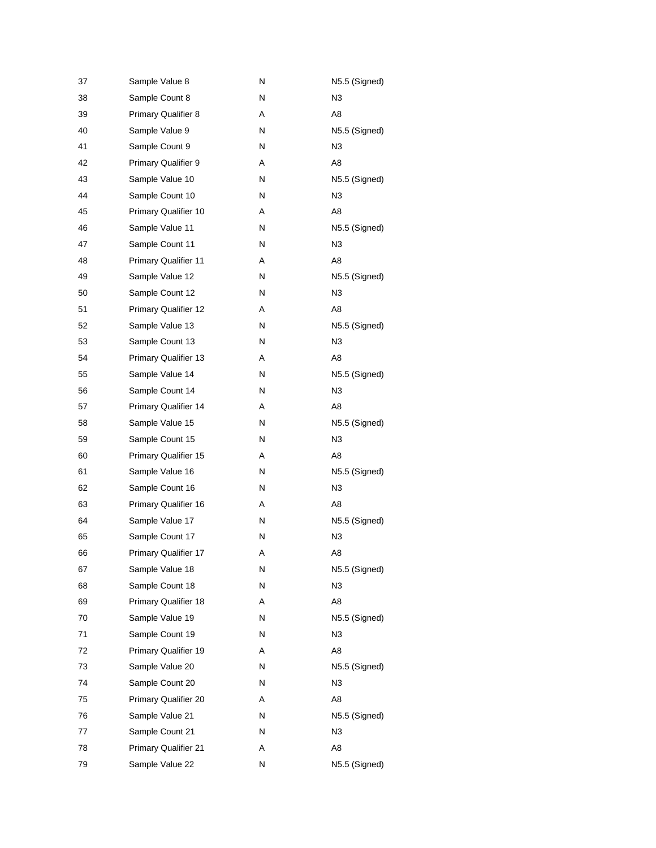| 37 | Sample Value 8              | Ν | N5.5 (Signed)  |
|----|-----------------------------|---|----------------|
| 38 | Sample Count 8              | Ν | N3             |
| 39 | <b>Primary Qualifier 8</b>  | Α | A8             |
| 40 | Sample Value 9              | Ν | N5.5 (Signed)  |
| 41 | Sample Count 9              | Ν | N3             |
| 42 | <b>Primary Qualifier 9</b>  | Α | A8             |
| 43 | Sample Value 10             | N | N5.5 (Signed)  |
| 44 | Sample Count 10             | Ν | N3             |
| 45 | Primary Qualifier 10        | Α | A8             |
| 46 | Sample Value 11             | Ν | N5.5 (Signed)  |
| 47 | Sample Count 11             | Ν | N3             |
| 48 | <b>Primary Qualifier 11</b> | Α | A8             |
| 49 | Sample Value 12             | Ν | N5.5 (Signed)  |
| 50 | Sample Count 12             | Ν | N3             |
| 51 | <b>Primary Qualifier 12</b> | Α | A8             |
| 52 | Sample Value 13             | Ν | N5.5 (Signed)  |
| 53 | Sample Count 13             | Ν | N3             |
| 54 | Primary Qualifier 13        | A | A8             |
| 55 | Sample Value 14             | Ν | N5.5 (Signed)  |
| 56 | Sample Count 14             | Ν | N3             |
| 57 | <b>Primary Qualifier 14</b> | Α | A8             |
| 58 | Sample Value 15             | Ν | N5.5 (Signed)  |
| 59 | Sample Count 15             | Ν | N3             |
| 60 | <b>Primary Qualifier 15</b> | Α | A8             |
| 61 | Sample Value 16             | Ν | N5.5 (Signed)  |
| 62 | Sample Count 16             | Ν | N3             |
| 63 | Primary Qualifier 16        | Α | A8             |
| 64 | Sample Value 17             | N | N5.5 (Signed)  |
| 65 | Sample Count 17             | Ν | N <sub>3</sub> |
| 66 | Primary Qualifier 17        | Α | A8             |
| 67 | Sample Value 18             | Ν | N5.5 (Signed)  |
| 68 | Sample Count 18             | Ν | N3             |
| 69 | <b>Primary Qualifier 18</b> | Α | A8             |
| 70 | Sample Value 19             | Ν | N5.5 (Signed)  |
| 71 | Sample Count 19             | Ν | N <sub>3</sub> |
| 72 | Primary Qualifier 19        | Α | A8             |
| 73 | Sample Value 20             | Ν | N5.5 (Signed)  |
| 74 | Sample Count 20             | N | N3             |
| 75 | Primary Qualifier 20        | Α | A8             |
| 76 | Sample Value 21             | Ν | N5.5 (Signed)  |
| 77 | Sample Count 21             | Ν | N3             |
| 78 | <b>Primary Qualifier 21</b> | Α | A8             |
| 79 | Sample Value 22             | Ν | N5.5 (Signed)  |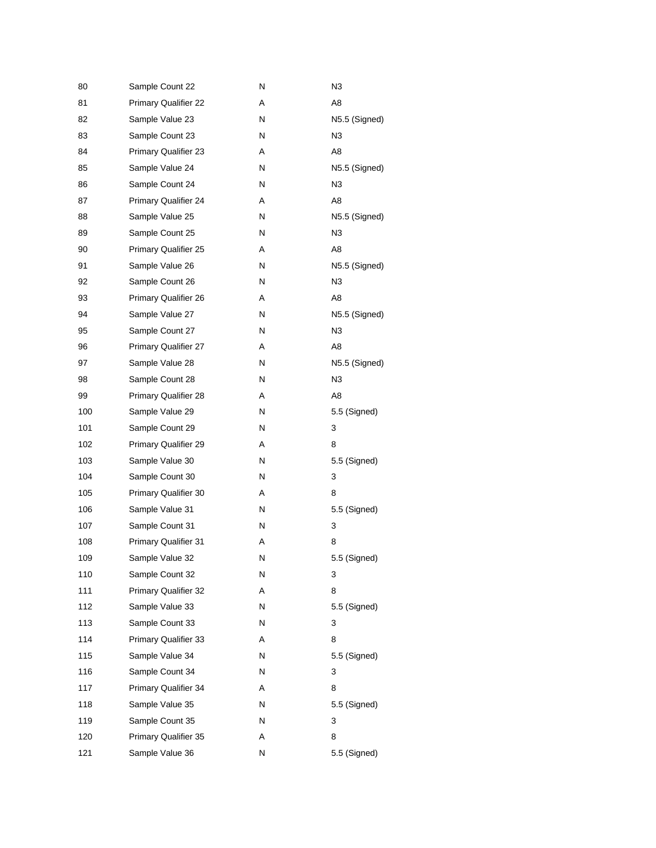| 80  | Sample Count 22             | Ν | N <sub>3</sub> |
|-----|-----------------------------|---|----------------|
| 81  | <b>Primary Qualifier 22</b> | Α | A8             |
| 82  | Sample Value 23             | Ν | N5.5 (Signed)  |
| 83  | Sample Count 23             | Ν | N3             |
| 84  | <b>Primary Qualifier 23</b> | A | A8             |
| 85  | Sample Value 24             | Ν | N5.5 (Signed)  |
| 86  | Sample Count 24             | Ν | N3             |
| 87  | Primary Qualifier 24        | A | A8             |
| 88  | Sample Value 25             | Ν | N5.5 (Signed)  |
| 89  | Sample Count 25             | Ν | N3             |
| 90  | Primary Qualifier 25        | Α | A8             |
| 91  | Sample Value 26             | Ν | N5.5 (Signed)  |
| 92  | Sample Count 26             | Ν | N3             |
| 93  | Primary Qualifier 26        | A | A8             |
| 94  | Sample Value 27             | Ν | N5.5 (Signed)  |
| 95  | Sample Count 27             | N | N3             |
| 96  | Primary Qualifier 27        | Α | A8             |
| 97  | Sample Value 28             | Ν | N5.5 (Signed)  |
| 98  | Sample Count 28             | Ν | N <sub>3</sub> |
| 99  | <b>Primary Qualifier 28</b> | Α | A8             |
| 100 | Sample Value 29             | Ν | 5.5 (Signed)   |
| 101 | Sample Count 29             | Ν | 3              |
| 102 | Primary Qualifier 29        | Α | 8              |
| 103 | Sample Value 30             | Ν | 5.5 (Signed)   |
| 104 | Sample Count 30             | Ν | 3              |
| 105 | Primary Qualifier 30        | Α | 8              |
| 106 | Sample Value 31             | Ν | 5.5 (Signed)   |
| 107 | Sample Count 31             | Ν | 3              |
| 108 | <b>Primary Qualifier 31</b> | Α | 8              |
| 109 | Sample Value 32             | N | 5.5 (Signed)   |
| 110 | Sample Count 32             | Ν | 3              |
| 111 | <b>Primary Qualifier 32</b> | Α | 8              |
| 112 | Sample Value 33             | Ν | 5.5 (Signed)   |
| 113 | Sample Count 33             | Ν | 3              |
| 114 | Primary Qualifier 33        | Α | 8              |
| 115 | Sample Value 34             | Ν | 5.5 (Signed)   |
| 116 | Sample Count 34             | Ν | 3              |
| 117 | Primary Qualifier 34        | Α | 8              |
| 118 | Sample Value 35             | Ν | 5.5 (Signed)   |
| 119 | Sample Count 35             | Ν | 3              |
| 120 | Primary Qualifier 35        | Α | 8              |
| 121 | Sample Value 36             | Ν | 5.5 (Signed)   |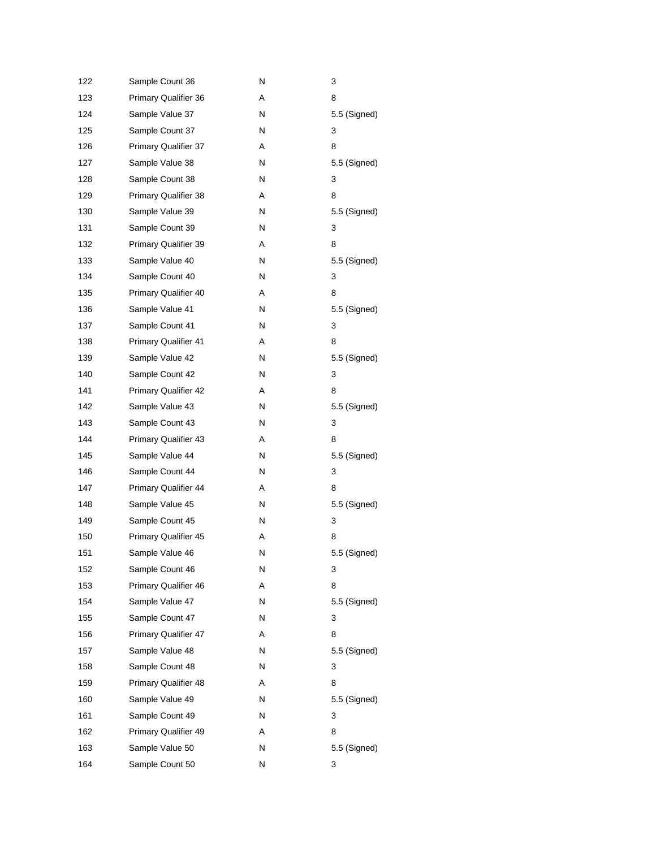| 122 | Sample Count 36             | Ν | 3            |
|-----|-----------------------------|---|--------------|
| 123 | <b>Primary Qualifier 36</b> | Α | 8            |
| 124 | Sample Value 37             | Ν | 5.5 (Signed) |
| 125 | Sample Count 37             | Ν | 3            |
| 126 | <b>Primary Qualifier 37</b> | Α | 8            |
| 127 | Sample Value 38             | Ν | 5.5 (Signed) |
| 128 | Sample Count 38             | Ν | 3            |
| 129 | Primary Qualifier 38        | Α | 8            |
| 130 | Sample Value 39             | Ν | 5.5 (Signed) |
| 131 | Sample Count 39             | Ν | 3            |
| 132 | Primary Qualifier 39        | A | 8            |
| 133 | Sample Value 40             | Ν | 5.5 (Signed) |
| 134 | Sample Count 40             | N | 3            |
| 135 | Primary Qualifier 40        | Α | 8            |
| 136 | Sample Value 41             | Ν | 5.5 (Signed) |
| 137 | Sample Count 41             | Ν | 3            |
| 138 | <b>Primary Qualifier 41</b> | Α | 8            |
| 139 | Sample Value 42             | Ν | 5.5 (Signed) |
| 140 | Sample Count 42             | Ν | 3            |
| 141 | <b>Primary Qualifier 42</b> | Α | 8            |
| 142 | Sample Value 43             | Ν | 5.5 (Signed) |
| 143 | Sample Count 43             | N | 3            |
| 144 | <b>Primary Qualifier 43</b> | Α | 8            |
| 145 | Sample Value 44             | Ν | 5.5 (Signed) |
| 146 | Sample Count 44             | Ν | 3            |
| 147 | Primary Qualifier 44        | Α | 8            |
| 148 | Sample Value 45             | Ν | 5.5 (Signed) |
| 149 | Sample Count 45             | Ν | 3            |
| 150 | Primary Qualifier 45        | Α | 8            |
| 151 | Sample Value 46             | N | 5.5 (Signed) |
| 152 | Sample Count 46             | Ν | 3            |
| 153 | <b>Primary Qualifier 46</b> | Α | 8            |
| 154 | Sample Value 47             | Ν | 5.5 (Signed) |
| 155 | Sample Count 47             | N | 3            |
| 156 | <b>Primary Qualifier 47</b> | A | 8            |
| 157 | Sample Value 48             | Ν | 5.5 (Signed) |
| 158 | Sample Count 48             | Ν | 3            |
| 159 | <b>Primary Qualifier 48</b> | Α | 8            |
| 160 | Sample Value 49             | Ν | 5.5 (Signed) |
| 161 | Sample Count 49             | N | 3            |
| 162 | <b>Primary Qualifier 49</b> | Α | 8            |
| 163 | Sample Value 50             | Ν | 5.5 (Signed) |
| 164 | Sample Count 50             | Ν | 3            |